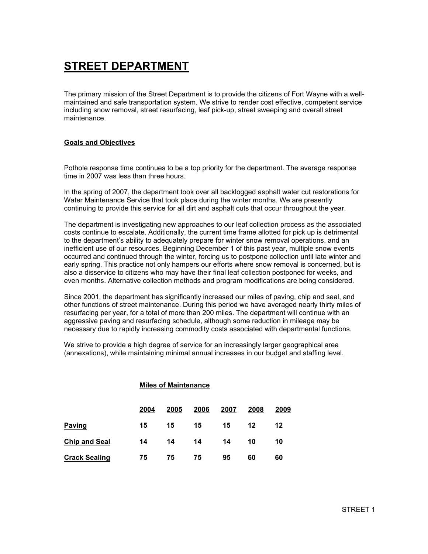### STREET DEPARTMENT

The primary mission of the Street Department is to provide the citizens of Fort Wayne with a wellmaintained and safe transportation system. We strive to render cost effective, competent service including snow removal, street resurfacing, leaf pick-up, street sweeping and overall street maintenance.

#### Goals and Objectives

Pothole response time continues to be a top priority for the department. The average response time in 2007 was less than three hours.

In the spring of 2007, the department took over all backlogged asphalt water cut restorations for Water Maintenance Service that took place during the winter months. We are presently continuing to provide this service for all dirt and asphalt cuts that occur throughout the year.

The department is investigating new approaches to our leaf collection process as the associated costs continue to escalate. Additionally, the current time frame allotted for pick up is detrimental to the department's ability to adequately prepare for winter snow removal operations, and an inefficient use of our resources. Beginning December 1 of this past year, multiple snow events occurred and continued through the winter, forcing us to postpone collection until late winter and early spring. This practice not only hampers our efforts where snow removal is concerned, but is also a disservice to citizens who may have their final leaf collection postponed for weeks, and even months. Alternative collection methods and program modifications are being considered.

Since 2001, the department has significantly increased our miles of paving, chip and seal, and other functions of street maintenance. During this period we have averaged nearly thirty miles of resurfacing per year, for a total of more than 200 miles. The department will continue with an aggressive paving and resurfacing schedule, although some reduction in mileage may be necessary due to rapidly increasing commodity costs associated with departmental functions.

We strive to provide a high degree of service for an increasingly larger geographical area (annexations), while maintaining minimal annual increases in our budget and staffing level.

|                      | <b>Miles of Maintenance</b> |              |    |      |      |      |  |  |  |  |  |  |  |  |
|----------------------|-----------------------------|--------------|----|------|------|------|--|--|--|--|--|--|--|--|
|                      | 2004                        | 2006<br>2005 |    | 2007 | 2008 | 2009 |  |  |  |  |  |  |  |  |
| <b>Paving</b>        | 15                          | 15           | 15 | 15   | 12   | 12   |  |  |  |  |  |  |  |  |
| <b>Chip and Seal</b> | 14                          | 14           | 14 | 14   | 10   | 10   |  |  |  |  |  |  |  |  |
| <b>Crack Sealing</b> | 75                          | 75           | 75 | 95   | 60   | 60   |  |  |  |  |  |  |  |  |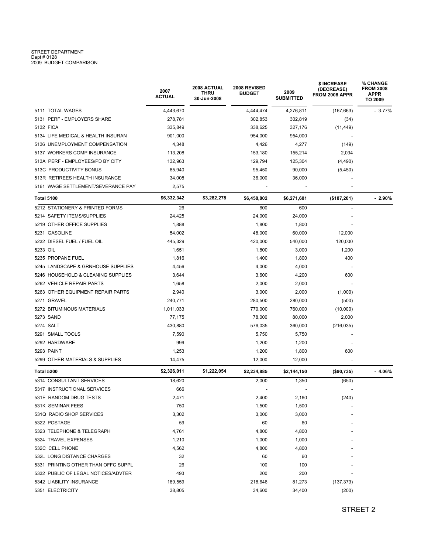# STREET DEPARTMENT<br>Dept # 0128<br>2009 BUDGET COMPARISON

|                                     | 2007<br><b>ACTUAL</b> | 2008 ACTUAL<br>THRU<br>30-Jun-2008 | 2008 REVISED<br><b>BUDGET</b> | 2009<br><b>SUBMITTED</b> | \$ INCREASE<br>(DECREASE)<br>FROM 2008 APPR | % CHANGE<br><b>FROM 2008</b><br><b>APPR</b><br>TO 2009 |  |  |
|-------------------------------------|-----------------------|------------------------------------|-------------------------------|--------------------------|---------------------------------------------|--------------------------------------------------------|--|--|
| 5111 TOTAL WAGES                    | 4,443,670             |                                    | 4,444,474                     | 4,276,811                | (167, 663)                                  | $-3.77%$                                               |  |  |
| 5131 PERF - EMPLOYERS SHARE         | 278,781               |                                    | 302,853                       | 302,819                  | (34)                                        |                                                        |  |  |
| 5132 FICA                           | 335,849               |                                    | 338,625                       | 327,176                  | (11, 449)                                   |                                                        |  |  |
| 5134 LIFE MEDICAL & HEALTH INSURAN  | 901,000               |                                    | 954,000                       | 954,000                  |                                             |                                                        |  |  |
| 5136 UNEMPLOYMENT COMPENSATION      | 4,348                 |                                    | 4,426                         | 4,277                    | (149)                                       |                                                        |  |  |
| 5137 WORKERS COMP INSURANCE         | 113,208               |                                    | 153,180                       | 155,214                  | 2,034                                       |                                                        |  |  |
| 513A PERF - EMPLOYEES/PD BY CITY    | 132,963               |                                    | 129,794                       | 125,304                  | (4,490)                                     |                                                        |  |  |
| 513C PRODUCTIVITY BONUS             | 85,940                |                                    | 95,450                        | 90,000                   | (5, 450)                                    |                                                        |  |  |
| 513R RETIREES HEALTH INSURANCE      | 34,008                |                                    | 36,000                        | 36,000                   |                                             |                                                        |  |  |
| 5161 WAGE SETTLEMENT/SEVERANCE PAY  | 2,575                 |                                    |                               |                          |                                             |                                                        |  |  |
| <b>Total 5100</b>                   | \$6,332,342           | \$3,282,278                        | \$6,458,802                   |                          | (\$187,201)                                 | $-2.90%$                                               |  |  |
| 5212 STATIONERY & PRINTED FORMS     | 26                    |                                    | 600                           | 600                      | $\blacksquare$                              |                                                        |  |  |
| 5214 SAFETY ITEMS/SUPPLIES          | 24,425                |                                    | 24,000                        | 24,000                   |                                             |                                                        |  |  |
| 5219 OTHER OFFICE SUPPLIES          | 1,888                 |                                    | 1,800                         | 1,800                    |                                             |                                                        |  |  |
| 5231 GASOLINE                       | 54,002                |                                    | 48,000                        | 60,000                   | 12,000                                      |                                                        |  |  |
| 5232 DIESEL FUEL / FUEL OIL         | 445,329               |                                    | 420,000                       | 540,000                  | 120,000                                     |                                                        |  |  |
| 5233 OIL                            | 1,651                 |                                    | 1,800                         | 3,000                    | 1,200                                       |                                                        |  |  |
| 5235 PROPANE FUEL                   | 1,816                 |                                    | 1,400                         | 1,800                    | 400                                         |                                                        |  |  |
| 5245 LANDSCAPE & GRNHOUSE SUPPLIES  | 4,456                 |                                    | 4,000                         | 4,000                    |                                             |                                                        |  |  |
| 5246 HOUSEHOLD & CLEANING SUPPLIES  | 3,644                 |                                    | 3,600                         | 4,200                    | 600                                         |                                                        |  |  |
| 5262 VEHICLE REPAIR PARTS           | 1,658                 |                                    | 2,000                         | 2,000                    |                                             |                                                        |  |  |
| 5263 OTHER EQUIPMENT REPAIR PARTS   | 2,940                 |                                    | 3,000                         | 2,000                    | (1,000)                                     |                                                        |  |  |
| 5271 GRAVEL                         | 240,771               |                                    | 280,500                       | 280,000                  | (500)                                       |                                                        |  |  |
| 5272 BITUMINOUS MATERIALS           | 1,011,033             |                                    | 770,000                       | 760,000                  | (10,000)                                    |                                                        |  |  |
| 5273 SAND                           | 77,175                |                                    | 78,000                        | 80,000                   | 2,000                                       |                                                        |  |  |
| 5274 SALT                           | 430,880               |                                    | 576,035                       | 360,000                  | (216, 035)                                  |                                                        |  |  |
| 5291 SMALL TOOLS                    | 7,590                 |                                    | 5,750                         | 5,750                    |                                             |                                                        |  |  |
| 5292 HARDWARE                       | 999                   |                                    | 1,200                         | 1,200                    |                                             |                                                        |  |  |
| 5293 PAINT                          | 1,253                 |                                    | 1,200                         | 1,800                    | 600                                         |                                                        |  |  |
| 5299 OTHER MATERIALS & SUPPLIES     | 14,475                |                                    | 12,000                        | 12,000                   |                                             |                                                        |  |  |
| Total 5200                          | \$2,326,011           | \$1,222,054                        | \$2,234,885                   | \$2,144,150              | (\$90,735)                                  | $-4.06%$                                               |  |  |
| 5314 CONSULTANT SERVICES            | 18,620                |                                    | 2,000                         | 1,350                    | (650)                                       |                                                        |  |  |
| 5317 INSTRUCTIONAL SERVICES         | 666                   |                                    |                               |                          |                                             |                                                        |  |  |
| 531E RANDOM DRUG TESTS              | 2,471                 |                                    | 2,400                         | 2,160                    | (240)                                       |                                                        |  |  |
| 531K SEMINAR FEES                   | 750                   |                                    | 1,500                         | 1,500                    |                                             |                                                        |  |  |
| 531Q RADIO SHOP SERVICES            | 3,302                 |                                    | 3,000                         | 3,000                    |                                             |                                                        |  |  |
| 5322 POSTAGE                        | 59                    |                                    | 60                            | 60                       |                                             |                                                        |  |  |
| 5323 TELEPHONE & TELEGRAPH          | 4,761                 |                                    | 4,800                         | 4,800                    |                                             |                                                        |  |  |
| 5324 TRAVEL EXPENSES                | 1,210                 |                                    | 1,000                         | 1,000                    |                                             |                                                        |  |  |
| 532C CELL PHONE                     | 4,562                 |                                    | 4,800                         | 4,800                    |                                             |                                                        |  |  |
| 532L LONG DISTANCE CHARGES          | 32                    |                                    | 60                            | 60                       |                                             |                                                        |  |  |
| 5331 PRINTING OTHER THAN OFFC SUPPL | 26                    |                                    | 100                           | 100                      |                                             |                                                        |  |  |
| 5332 PUBLIC OF LEGAL NOTICES/ADVTER | 493                   |                                    | 200                           | 200                      |                                             |                                                        |  |  |
| 5342 LIABILITY INSURANCE            | 189,559               |                                    | 218,646                       | 81,273                   | (137, 373)                                  |                                                        |  |  |
| 5351 ELECTRICITY                    | 38,805                |                                    | 34,600                        | 34,400                   | (200)                                       |                                                        |  |  |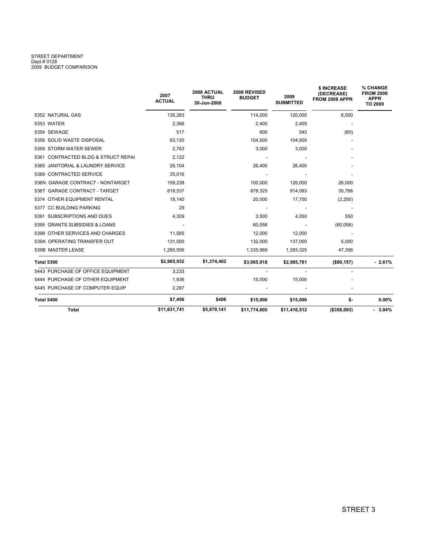## STREET DEPARTMENT<br>Dept # 0128<br>2009 BUDGET COMPARISON

|                                     | 2007<br><b>ACTUAL</b> | 2008 ACTUAL<br><b>THRU</b><br>30-Jun-2008 | 2008 REVISED<br><b>BUDGET</b> | 2009<br><b>SUBMITTED</b> | \$ INCREASE<br>(DECREASE)<br>FROM 2008 APPR | % CHANGE<br><b>FROM 2008</b><br><b>APPR</b><br>TO 2009 |  |
|-------------------------------------|-----------------------|-------------------------------------------|-------------------------------|--------------------------|---------------------------------------------|--------------------------------------------------------|--|
| 5352 NATURAL GAS                    | 135,283               |                                           | 114,000                       | 120,000                  | 6,000                                       |                                                        |  |
| 5353 WATER                          | 2,366                 |                                           | 2,400                         | 2,400                    |                                             |                                                        |  |
| 5354 SEWAGE                         | 517                   |                                           | 600                           | 540                      | (60)                                        |                                                        |  |
| 5356 SOLID WASTE DISPOSAL           | 93,120                |                                           | 104,500                       | 104,500                  |                                             |                                                        |  |
| 5359 STORM WATER SEWER              | 2.763                 |                                           | 3,000                         | 3,000                    |                                             |                                                        |  |
| 5361 CONTRACTED BLDG & STRUCT REPAI | 2.122                 |                                           |                               |                          |                                             |                                                        |  |
| 5365 JANITORIAL & LAUNDRY SERVICE   | 26,104                |                                           | 26,400                        | 26,400                   |                                             |                                                        |  |
| 5369 CONTRACTED SERVICE             | 35,016                |                                           |                               |                          |                                             |                                                        |  |
| 536N GARAGE CONTRACT - NONTARGET    | 159,238               |                                           | 100,000                       | 126,000                  | 26,000                                      |                                                        |  |
| 536T GARAGE CONTRACT - TARGET       | 818.537               |                                           | 878,325                       | 914,093                  | 35,768                                      |                                                        |  |
| 5374 OTHER EQUIPMENT RENTAL         | 18,140                |                                           | 20,000                        | 17,750                   | (2,250)                                     |                                                        |  |
| 5377 CC BUILDING PARKING            | 29                    |                                           |                               |                          |                                             |                                                        |  |
| 5391 SUBSCRIPTIONS AND DUES         | 4,309                 |                                           | 3,500                         | 4,050                    | 550                                         |                                                        |  |
| 5395 GRANTS SUBSIDIES & LOANS       |                       |                                           | 60,058                        |                          | (60, 058)                                   |                                                        |  |
| 5399 OTHER SERVICES AND CHARGES     | 11,565                |                                           | 12,000                        | 12,000                   |                                             |                                                        |  |
| 539A OPERATING TRANSFER OUT         | 131,000               |                                           | 132,000                       | 137,000                  | 5,000                                       |                                                        |  |
| 539B MASTER LEASE                   | 1,260,506             |                                           | 1,335,969                     | 1,383,325                | 47,356                                      |                                                        |  |
| <b>Total 5300</b>                   | \$2,965,932           | \$1,374,402                               | \$3,065,918                   | \$2,985,761              | (\$80, 157)                                 | $-2.61%$                                               |  |
| 5443 PURCHASE OF OFFICE EQUIPMENT   | 3,233                 |                                           |                               |                          |                                             |                                                        |  |
| 5444 PURCHASE OF OTHER EQUIPMENT    | 1,936                 |                                           | 15,000                        | 15,000                   |                                             |                                                        |  |
| 5445 PURCHASE OF COMPUTER EQUIP     | 2,287                 |                                           |                               |                          |                                             |                                                        |  |
| <b>Total 5400</b>                   | \$7,456               | \$406                                     | \$15,000                      | \$15,000                 | \$-                                         | $0.00\%$                                               |  |
| <b>Total</b>                        | \$11,631,741          | \$5,879,141                               | \$11,774,605                  | \$11,416,512             | (\$358,093)                                 | $-3.04%$                                               |  |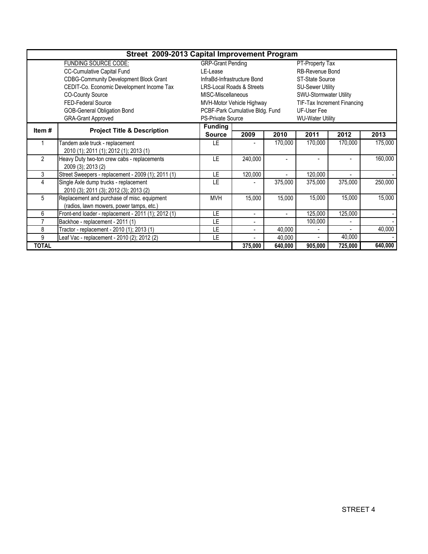| Street 2009-2013 Capital Improvement Program                  |                                                     |                             |                                                |                          |                             |                          |         |  |  |  |  |
|---------------------------------------------------------------|-----------------------------------------------------|-----------------------------|------------------------------------------------|--------------------------|-----------------------------|--------------------------|---------|--|--|--|--|
|                                                               | FUNDING SOURCE CODE:                                | <b>GRP-Grant Pending</b>    |                                                | PT-Property Tax          |                             |                          |         |  |  |  |  |
|                                                               | CC-Cumulative Capital Fund                          | LE-Lease                    |                                                |                          | <b>RB-Revenue Bond</b>      |                          |         |  |  |  |  |
|                                                               | <b>CDBG-Community Development Block Grant</b>       | InfraBd-Infrastructure Bond |                                                |                          | ST-State Source             |                          |         |  |  |  |  |
|                                                               | CEDIT-Co. Economic Development Income Tax           |                             | <b>LRS-Local Roads &amp; Streets</b>           |                          | <b>SU-Sewer Utility</b>     |                          |         |  |  |  |  |
|                                                               | <b>CO-County Source</b>                             | MISC-Miscellaneous          |                                                |                          | SWU-Stormwater Utility      |                          |         |  |  |  |  |
|                                                               | FED-Federal Source                                  |                             | MVH-Motor Vehicle Highway                      |                          | TIF-Tax Increment Financing |                          |         |  |  |  |  |
|                                                               | GOB-General Obligation Bond                         |                             | PCBF-Park Cumulative Bldg. Fund<br>UF-User Fee |                          |                             |                          |         |  |  |  |  |
|                                                               | <b>GRA-Grant Approved</b>                           | <b>PS-Private Source</b>    |                                                |                          | <b>WU-Water Utility</b>     |                          |         |  |  |  |  |
| Item#                                                         | <b>Project Title &amp; Description</b>              | <b>Funding</b>              |                                                |                          |                             |                          |         |  |  |  |  |
|                                                               |                                                     | <b>Source</b>               | 2009                                           | 2010                     | 2011                        | 2012                     | 2013    |  |  |  |  |
|                                                               | Tandem axle truck - replacement                     |                             |                                                | 170,000                  | 170,000                     | 170,000                  | 175,000 |  |  |  |  |
|                                                               | 2010 (1); 2011 (1); 2012 (1); 2013 (1)              |                             |                                                |                          |                             |                          |         |  |  |  |  |
| $\overline{2}$<br>Heavy Duty two-ton crew cabs - replacements |                                                     | LE.                         | 240,000                                        | $\overline{a}$           |                             |                          | 160,000 |  |  |  |  |
|                                                               | 2009 (3); 2013 (2)                                  |                             |                                                |                          |                             |                          |         |  |  |  |  |
| 3                                                             | Street Sweepers - replacement - 2009 (1); 2011 (1)  | LE.                         | 120,000                                        | $\overline{a}$           | 120,000                     | $\overline{\phantom{0}}$ |         |  |  |  |  |
| 4<br>Single Axle dump trucks - replacement                    |                                                     | LE.                         |                                                | 375,000                  | 375,000                     | 375,000                  | 250,000 |  |  |  |  |
|                                                               | 2010 (3); 2011 (3); 2012 (3); 2013 (2)              |                             |                                                |                          |                             |                          |         |  |  |  |  |
|                                                               | 5<br>Replacement and purchase of misc. equipment    |                             | 15,000                                         | 15,000                   | 15,000                      | 15,000                   | 15,000  |  |  |  |  |
|                                                               | (radios, lawn mowers, power tamps, etc.)            |                             |                                                |                          |                             |                          |         |  |  |  |  |
| 6                                                             | Front-end loader - replacement - 2011 (1); 2012 (1) | LE.<br>LE                   | $\overline{\phantom{a}}$                       | $\overline{\phantom{a}}$ | 125,000                     | 125,000                  |         |  |  |  |  |
|                                                               | Backhoe - replacement - 2011 (1)                    |                             | ۰                                              |                          | 100,000                     |                          |         |  |  |  |  |
| 8                                                             | Tractor - replacement - 2010 (1); 2013 (1)          | LE                          | ۰                                              | 40,000                   |                             |                          | 40,000  |  |  |  |  |
| 9                                                             | Leaf Vac - replacement - 2010 (2); 2012 (2)         | LE                          |                                                | 40,000                   |                             | 40,000                   |         |  |  |  |  |
| <b>TOTAL</b>                                                  |                                                     | 375,000                     | 640,000                                        | 905,000                  | 725,000                     | 640,000                  |         |  |  |  |  |